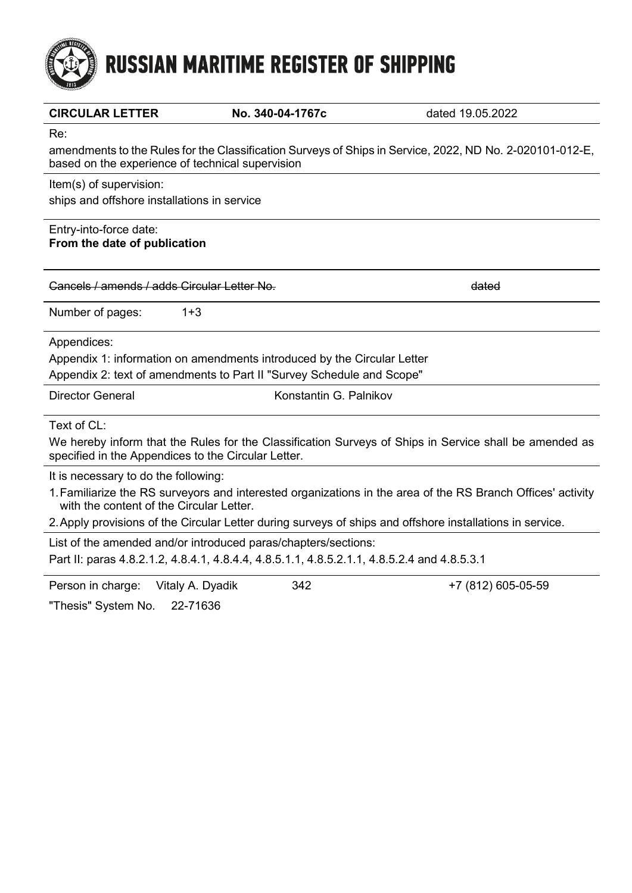# **RUSSIAN MARITIME REGISTER OF SHIPPING**

| <b>CIRCULAR LETTER</b>                                                                                                                                        | No. 340-04-1767c       | dated 19.05.2022   |  |  |  |  |
|---------------------------------------------------------------------------------------------------------------------------------------------------------------|------------------------|--------------------|--|--|--|--|
| Re:                                                                                                                                                           |                        |                    |  |  |  |  |
| amendments to the Rules for the Classification Surveys of Ships in Service, 2022, ND No. 2-020101-012-E,<br>based on the experience of technical supervision  |                        |                    |  |  |  |  |
| Item(s) of supervision:                                                                                                                                       |                        |                    |  |  |  |  |
| ships and offshore installations in service                                                                                                                   |                        |                    |  |  |  |  |
| Entry-into-force date:<br>From the date of publication                                                                                                        |                        |                    |  |  |  |  |
| Cancels / amends / adds Circular Letter No.                                                                                                                   |                        | dated              |  |  |  |  |
| Number of pages:<br>$1 + 3$                                                                                                                                   |                        |                    |  |  |  |  |
| Appendices:                                                                                                                                                   |                        |                    |  |  |  |  |
| Appendix 1: information on amendments introduced by the Circular Letter                                                                                       |                        |                    |  |  |  |  |
| Appendix 2: text of amendments to Part II "Survey Schedule and Scope"                                                                                         |                        |                    |  |  |  |  |
| <b>Director General</b>                                                                                                                                       | Konstantin G. Palnikov |                    |  |  |  |  |
| Text of CL:                                                                                                                                                   |                        |                    |  |  |  |  |
| We hereby inform that the Rules for the Classification Surveys of Ships in Service shall be amended as<br>specified in the Appendices to the Circular Letter. |                        |                    |  |  |  |  |
| It is necessary to do the following:                                                                                                                          |                        |                    |  |  |  |  |
| 1. Familiarize the RS surveyors and interested organizations in the area of the RS Branch Offices' activity<br>with the content of the Circular Letter.       |                        |                    |  |  |  |  |
| 2. Apply provisions of the Circular Letter during surveys of ships and offshore installations in service.                                                     |                        |                    |  |  |  |  |
| List of the amended and/or introduced paras/chapters/sections:                                                                                                |                        |                    |  |  |  |  |
| Part II: paras 4.8.2.1.2, 4.8.4.1, 4.8.4.4, 4.8.5.1.1, 4.8.5.2.1.1, 4.8.5.2.4 and 4.8.5.3.1                                                                   |                        |                    |  |  |  |  |
| Person in charge:<br>Vitaly A. Dyadik                                                                                                                         | 342                    | +7 (812) 605-05-59 |  |  |  |  |
| "Thesis" System No.<br>22-71636                                                                                                                               |                        |                    |  |  |  |  |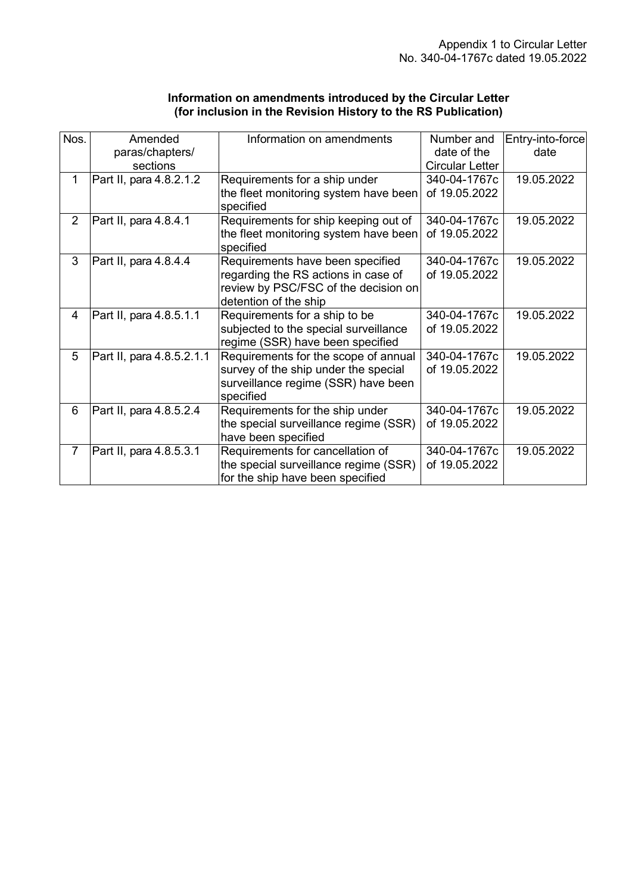| Information on amendments introduced by the Circular Letter   |
|---------------------------------------------------------------|
| (for inclusion in the Revision History to the RS Publication) |

| Nos.           | Amended<br>paras/chapters/ | Information on amendments                                                 | Number and<br>date of the | Entry-into-force<br>date |
|----------------|----------------------------|---------------------------------------------------------------------------|---------------------------|--------------------------|
|                | sections                   |                                                                           | <b>Circular Letter</b>    |                          |
| 1              | Part II, para 4.8.2.1.2    | Requirements for a ship under                                             | 340-04-1767c              | 19.05.2022               |
|                |                            | the fleet monitoring system have been<br>specified                        | of 19.05.2022             |                          |
| $\overline{2}$ | Part II, para 4.8.4.1      | Requirements for ship keeping out of                                      | 340-04-1767c              | 19.05.2022               |
|                |                            | the fleet monitoring system have been<br>specified                        | of 19.05.2022             |                          |
| 3              | Part II, para 4.8.4.4      | Requirements have been specified                                          | 340-04-1767c              | 19.05.2022               |
|                |                            | regarding the RS actions in case of                                       | of 19.05.2022             |                          |
|                |                            | review by PSC/FSC of the decision on                                      |                           |                          |
|                |                            | detention of the ship                                                     |                           |                          |
| 4              | Part II, para 4.8.5.1.1    | Requirements for a ship to be                                             | 340-04-1767c              | 19.05.2022               |
|                |                            | subjected to the special surveillance<br>regime (SSR) have been specified | of 19.05.2022             |                          |
| 5              | Part II, para 4.8.5.2.1.1  | Requirements for the scope of annual                                      | 340-04-1767c              | 19.05.2022               |
|                |                            | survey of the ship under the special                                      | of 19.05.2022             |                          |
|                |                            | surveillance regime (SSR) have been<br>specified                          |                           |                          |
| 6              | Part II, para 4.8.5.2.4    | Requirements for the ship under                                           | 340-04-1767c              | 19.05.2022               |
|                |                            | the special surveillance regime (SSR)                                     | of 19.05.2022             |                          |
|                |                            | have been specified                                                       |                           |                          |
| $\overline{7}$ | Part II, para 4.8.5.3.1    | Requirements for cancellation of                                          | 340-04-1767c              | 19.05.2022               |
|                |                            | the special surveillance regime (SSR)                                     | of 19.05.2022             |                          |
|                |                            | for the ship have been specified                                          |                           |                          |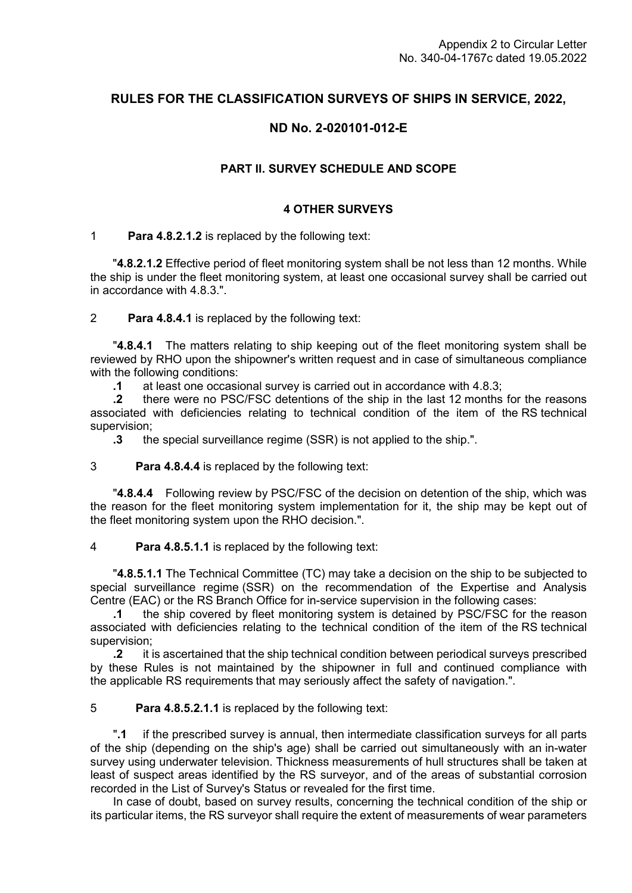# **RULES FOR THE CLASSIFICATION SURVEYS OF SHIPS IN SERVICE, 2022,**

# **ND No. 2-020101-012-E**

## **PART II. SURVEY SCHEDULE AND SCOPE**

#### **4 OTHER SURVEYS**

#### 1 **Para 4.8.2.1.2** is replaced by the following text:

"**4.8.2.1.2** Effective period of fleet monitoring system shall be not less than 12 months. While the ship is under the fleet monitoring system, at least one occasional survey shall be carried out in accordance with 4.8.3.".

#### 2 **Para 4.8.4.1** is replaced by the following text:

"**4.8.4.1** The matters relating to ship keeping out of the fleet monitoring system shall be reviewed by RHO upon the shipowner's written request and in case of simultaneous compliance with the following conditions:

**.1** at least one occasional survey is carried out in accordance with 4.8.3;

**.2** there were no PSC/FSC detentions of the ship in the last 12 months for the reasons associated with deficiencies relating to technical condition of the item of the RS technical supervision;

**.3** the special surveillance regime (SSR) is not applied to the ship.".

#### 3 **Para 4.8.4.4** is replaced by the following text:

"**4.8.4.4** Following review by PSC/FSC of the decision on detention of the ship, which was the reason for the fleet monitoring system implementation for it, the ship may be kept out of the fleet monitoring system upon the RHO decision.".

### 4 **Para 4.8.5.1.1** is replaced by the following text:

"**4.8.5.1.1** The Technical Committee (TC) may take a decision on the ship to be subjected to special surveillance regime (SSR) on the recommendation of the Expertise and Analysis Centre (EAC) or the RS Branch Office for in-service supervision in the following cases:

**.1** the ship covered by fleet monitoring system is detained by PSC/FSC for the reason associated with deficiencies relating to the technical condition of the item of the RS technical supervision;

**.2** it is ascertained that the ship technical condition between periodical surveys prescribed by these Rules is not maintained by the shipowner in full and continued compliance with the applicable RS requirements that may seriously affect the safety of navigation.".

#### 5 **Para 4.8.5.2.1.1** is replaced by the following text:

"**.1** if the prescribed survey is annual, then intermediate classification surveys for all parts of the ship (depending on the ship's age) shall be carried out simultaneously with an in-water survey using underwater television. Thickness measurements of hull structures shall be taken at least of suspect areas identified by the RS surveyor, and of the areas of substantial corrosion recorded in the List of Survey's Status or revealed for the first time.

In case of doubt, based on survey results, concerning the technical condition of the ship or its particular items, the RS surveyor shall require the extent of measurements of wear parameters